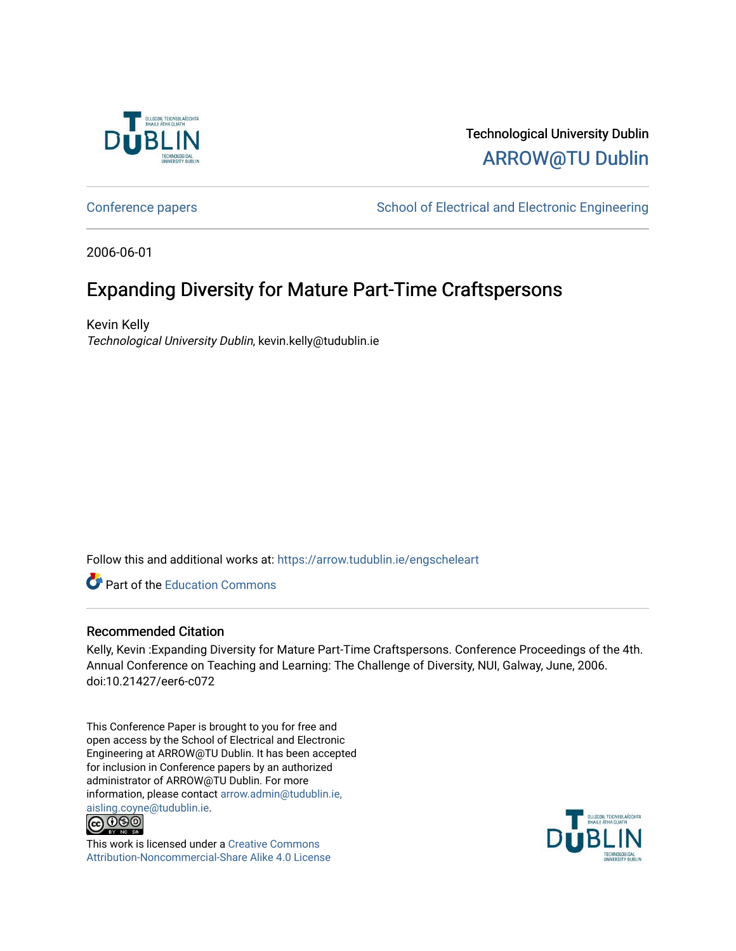

## Technological University Dublin [ARROW@TU Dublin](https://arrow.tudublin.ie/)

[Conference papers](https://arrow.tudublin.ie/engscheleart) **School of Electrical and Electronic Engineering** 

2006-06-01

# Expanding Diversity for Mature Part-Time Craftspersons

Kevin Kelly Technological University Dublin, kevin.kelly@tudublin.ie

Follow this and additional works at: [https://arrow.tudublin.ie/engscheleart](https://arrow.tudublin.ie/engscheleart?utm_source=arrow.tudublin.ie%2Fengscheleart%2F120&utm_medium=PDF&utm_campaign=PDFCoverPages) 

**Part of the [Education Commons](http://network.bepress.com/hgg/discipline/784?utm_source=arrow.tudublin.ie%2Fengscheleart%2F120&utm_medium=PDF&utm_campaign=PDFCoverPages)** 

#### Recommended Citation

Kelly, Kevin :Expanding Diversity for Mature Part-Time Craftspersons. Conference Proceedings of the 4th. Annual Conference on Teaching and Learning: The Challenge of Diversity, NUI, Galway, June, 2006. doi:10.21427/eer6-c072

This Conference Paper is brought to you for free and open access by the School of Electrical and Electronic Engineering at ARROW@TU Dublin. It has been accepted for inclusion in Conference papers by an authorized administrator of ARROW@TU Dublin. For more information, please contact [arrow.admin@tudublin.ie,](mailto:arrow.admin@tudublin.ie,%20aisling.coyne@tudublin.ie)  [aisling.coyne@tudublin.ie.](mailto:arrow.admin@tudublin.ie,%20aisling.coyne@tudublin.ie)<br>© 090



This work is licensed under a [Creative Commons](http://creativecommons.org/licenses/by-nc-sa/4.0/) [Attribution-Noncommercial-Share Alike 4.0 License](http://creativecommons.org/licenses/by-nc-sa/4.0/)

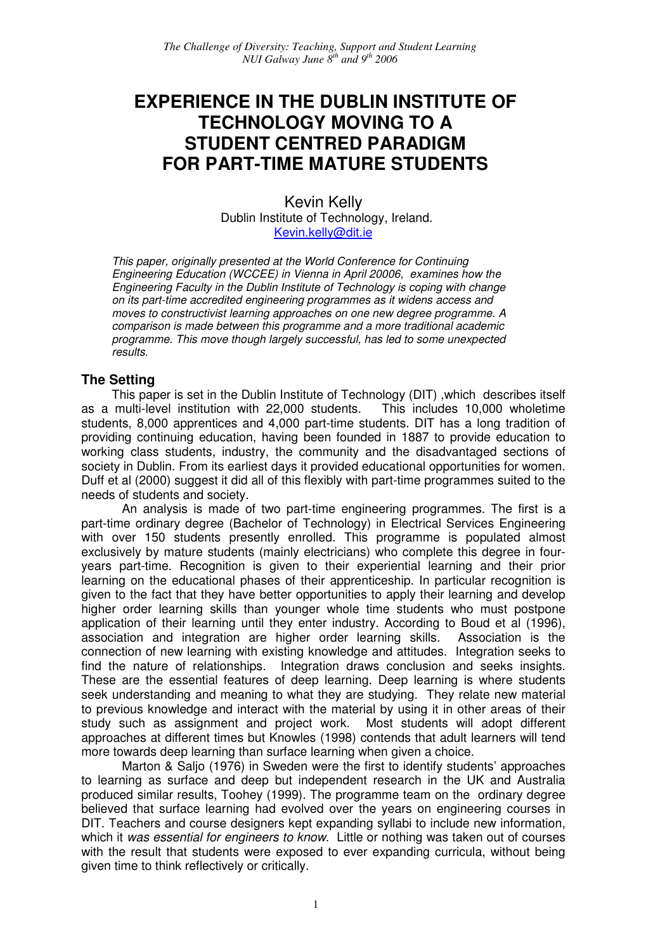## **EXPERIENCE IN THE DUBLIN INSTITUTE OF TECHNOLOGY MOVING TO A STUDENT CENTRED PARADIGM FOR PART-TIME MATURE STUDENTS**

Kevin Kelly Dublin Institute of Technology, Ireland. Kevin.kelly@dit.ie

This paper, originally presented at the World Conference for Continuing Engineering Education (WCCEE) in Vienna in April 20006, examines how the Engineering Faculty in the Dublin Institute of Technology is coping with change on its part-time accredited engineering programmes as it widens access and moves to constructivist learning approaches on one new degree programme. A comparison is made between this programme and a more traditional academic programme. This move though largely successful, has led to some unexpected results.

#### **The Setting**

This paper is set in the Dublin Institute of Technology (DIT) ,which describes itself as a multi-level institution with 22,000 students. This includes 10,000 wholetime students, 8,000 apprentices and 4,000 part-time students. DIT has a long tradition of providing continuing education, having been founded in 1887 to provide education to working class students, industry, the community and the disadvantaged sections of society in Dublin. From its earliest days it provided educational opportunities for women. Duff et al (2000) suggest it did all of this flexibly with part-time programmes suited to the needs of students and society.

An analysis is made of two part-time engineering programmes. The first is a part-time ordinary degree (Bachelor of Technology) in Electrical Services Engineering with over 150 students presently enrolled. This programme is populated almost exclusively by mature students (mainly electricians) who complete this degree in fouryears part-time. Recognition is given to their experiential learning and their prior learning on the educational phases of their apprenticeship. In particular recognition is given to the fact that they have better opportunities to apply their learning and develop higher order learning skills than younger whole time students who must postpone application of their learning until they enter industry. According to Boud et al (1996), association and integration are higher order learning skills. Association is the connection of new learning with existing knowledge and attitudes. Integration seeks to find the nature of relationships. Integration draws conclusion and seeks insights. These are the essential features of deep learning. Deep learning is where students seek understanding and meaning to what they are studying. They relate new material to previous knowledge and interact with the material by using it in other areas of their study such as assignment and project work. Most students will adopt different approaches at different times but Knowles (1998) contends that adult learners will tend more towards deep learning than surface learning when given a choice.

Marton & Saljo (1976) in Sweden were the first to identify students' approaches to learning as surface and deep but independent research in the UK and Australia produced similar results, Toohey (1999). The programme team on the ordinary degree believed that surface learning had evolved over the years on engineering courses in DIT. Teachers and course designers kept expanding syllabi to include new information, which it was essential for engineers to know. Little or nothing was taken out of courses with the result that students were exposed to ever expanding curricula, without being given time to think reflectively or critically.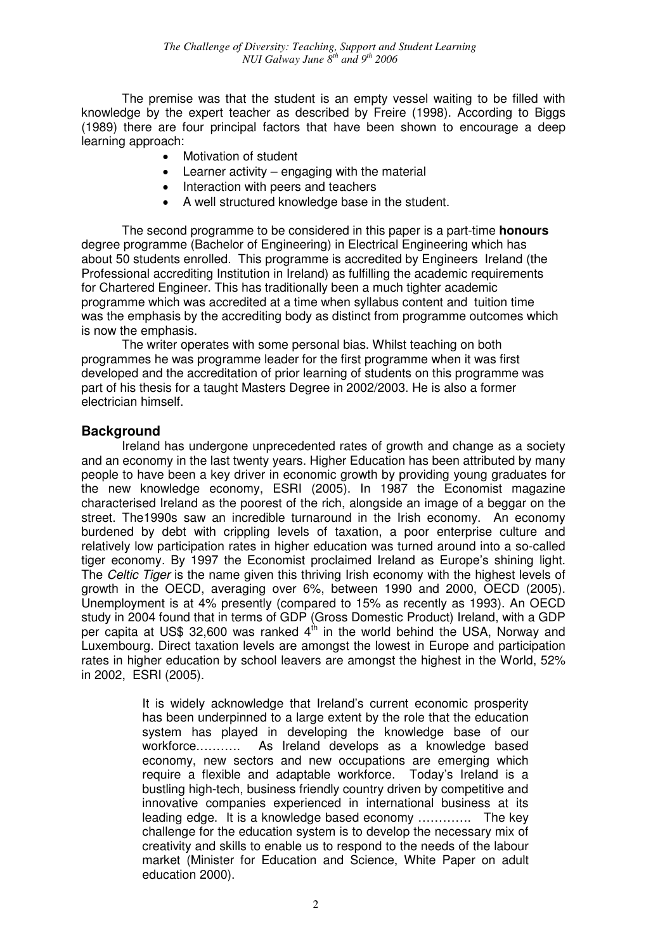The premise was that the student is an empty vessel waiting to be filled with knowledge by the expert teacher as described by Freire (1998). According to Biggs (1989) there are four principal factors that have been shown to encourage a deep learning approach:

- Motivation of student
- Learner activity engaging with the material
- Interaction with peers and teachers
- A well structured knowledge base in the student.

The second programme to be considered in this paper is a part-time **honours** degree programme (Bachelor of Engineering) in Electrical Engineering which has about 50 students enrolled. This programme is accredited by Engineers Ireland (the Professional accrediting Institution in Ireland) as fulfilling the academic requirements for Chartered Engineer. This has traditionally been a much tighter academic programme which was accredited at a time when syllabus content and tuition time was the emphasis by the accrediting body as distinct from programme outcomes which is now the emphasis.

The writer operates with some personal bias. Whilst teaching on both programmes he was programme leader for the first programme when it was first developed and the accreditation of prior learning of students on this programme was part of his thesis for a taught Masters Degree in 2002/2003. He is also a former electrician himself.

#### **Background**

Ireland has undergone unprecedented rates of growth and change as a society and an economy in the last twenty years. Higher Education has been attributed by many people to have been a key driver in economic growth by providing young graduates for the new knowledge economy, ESRI (2005). In 1987 the Economist magazine characterised Ireland as the poorest of the rich, alongside an image of a beggar on the street. The1990s saw an incredible turnaround in the Irish economy. An economy burdened by debt with crippling levels of taxation, a poor enterprise culture and relatively low participation rates in higher education was turned around into a so-called tiger economy. By 1997 the Economist proclaimed Ireland as Europe's shining light. The Celtic Tiger is the name given this thriving Irish economy with the highest levels of growth in the OECD, averaging over 6%, between 1990 and 2000, OECD (2005). Unemployment is at 4% presently (compared to 15% as recently as 1993). An OECD study in 2004 found that in terms of GDP (Gross Domestic Product) Ireland, with a GDP per capita at US\$ 32,600 was ranked  $4<sup>th</sup>$  in the world behind the USA. Norway and Luxembourg. Direct taxation levels are amongst the lowest in Europe and participation rates in higher education by school leavers are amongst the highest in the World, 52% in 2002, ESRI (2005).

> It is widely acknowledge that Ireland's current economic prosperity has been underpinned to a large extent by the role that the education system has played in developing the knowledge base of our workforce.………. As Ireland develops as a knowledge based economy, new sectors and new occupations are emerging which require a flexible and adaptable workforce. Today's Ireland is a bustling high-tech, business friendly country driven by competitive and innovative companies experienced in international business at its leading edge. It is a knowledge based economy …………. The key challenge for the education system is to develop the necessary mix of creativity and skills to enable us to respond to the needs of the labour market (Minister for Education and Science, White Paper on adult education 2000).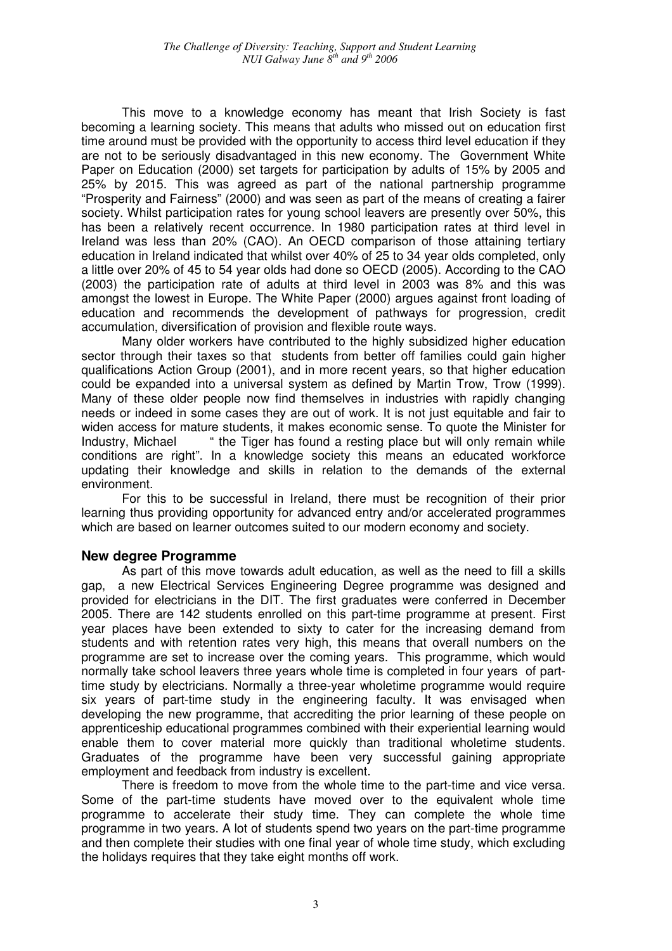This move to a knowledge economy has meant that Irish Society is fast becoming a learning society. This means that adults who missed out on education first time around must be provided with the opportunity to access third level education if they are not to be seriously disadvantaged in this new economy. The Government White Paper on Education (2000) set targets for participation by adults of 15% by 2005 and 25% by 2015. This was agreed as part of the national partnership programme "Prosperity and Fairness" (2000) and was seen as part of the means of creating a fairer society. Whilst participation rates for young school leavers are presently over 50%, this has been a relatively recent occurrence. In 1980 participation rates at third level in Ireland was less than 20% (CAO). An OECD comparison of those attaining tertiary education in Ireland indicated that whilst over 40% of 25 to 34 year olds completed, only a little over 20% of 45 to 54 year olds had done so OECD (2005). According to the CAO (2003) the participation rate of adults at third level in 2003 was 8% and this was amongst the lowest in Europe. The White Paper (2000) argues against front loading of education and recommends the development of pathways for progression, credit accumulation, diversification of provision and flexible route ways.

Many older workers have contributed to the highly subsidized higher education sector through their taxes so that students from better off families could gain higher qualifications Action Group (2001), and in more recent years, so that higher education could be expanded into a universal system as defined by Martin Trow, Trow (1999). Many of these older people now find themselves in industries with rapidly changing needs or indeed in some cases they are out of work. It is not just equitable and fair to widen access for mature students, it makes economic sense. To quote the Minister for Industry, Michael " the Tiger has found a resting place but will only remain while conditions are right". In a knowledge society this means an educated workforce updating their knowledge and skills in relation to the demands of the external environment.

For this to be successful in Ireland, there must be recognition of their prior learning thus providing opportunity for advanced entry and/or accelerated programmes which are based on learner outcomes suited to our modern economy and society.

#### **New degree Programme**

As part of this move towards adult education, as well as the need to fill a skills gap, a new Electrical Services Engineering Degree programme was designed and provided for electricians in the DIT. The first graduates were conferred in December 2005. There are 142 students enrolled on this part-time programme at present. First year places have been extended to sixty to cater for the increasing demand from students and with retention rates very high, this means that overall numbers on the programme are set to increase over the coming years. This programme, which would normally take school leavers three years whole time is completed in four years of parttime study by electricians. Normally a three-year wholetime programme would require six years of part-time study in the engineering faculty. It was envisaged when developing the new programme, that accrediting the prior learning of these people on apprenticeship educational programmes combined with their experiential learning would enable them to cover material more quickly than traditional wholetime students. Graduates of the programme have been very successful gaining appropriate employment and feedback from industry is excellent.

There is freedom to move from the whole time to the part-time and vice versa. Some of the part-time students have moved over to the equivalent whole time programme to accelerate their study time. They can complete the whole time programme in two years. A lot of students spend two years on the part-time programme and then complete their studies with one final year of whole time study, which excluding the holidays requires that they take eight months off work.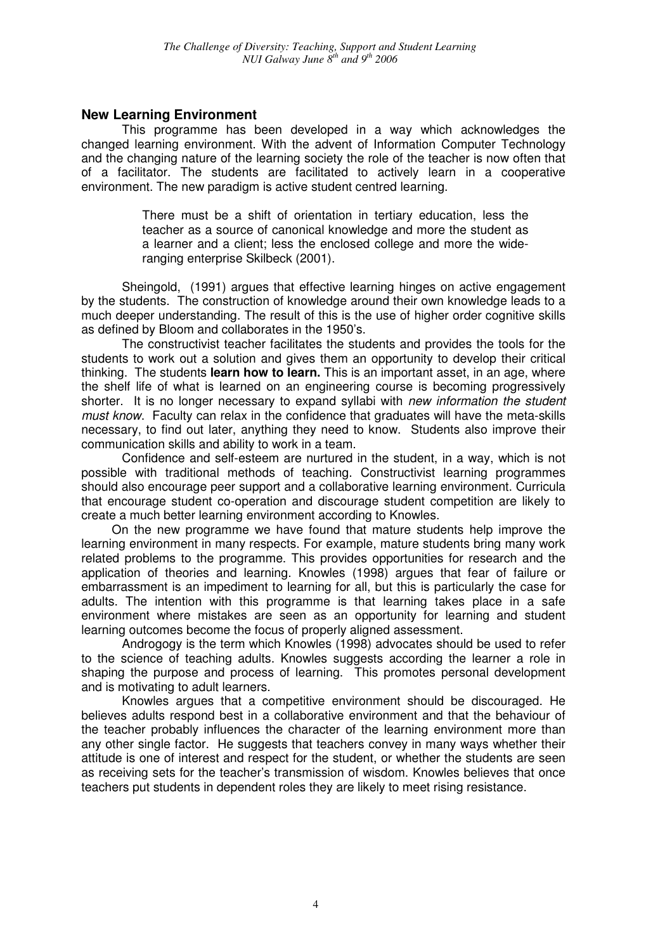#### **New Learning Environment**

This programme has been developed in a way which acknowledges the changed learning environment. With the advent of Information Computer Technology and the changing nature of the learning society the role of the teacher is now often that of a facilitator. The students are facilitated to actively learn in a cooperative environment. The new paradigm is active student centred learning.

> There must be a shift of orientation in tertiary education, less the teacher as a source of canonical knowledge and more the student as a learner and a client; less the enclosed college and more the wideranging enterprise Skilbeck (2001).

Sheingold, (1991) argues that effective learning hinges on active engagement by the students. The construction of knowledge around their own knowledge leads to a much deeper understanding. The result of this is the use of higher order cognitive skills as defined by Bloom and collaborates in the 1950's.

The constructivist teacher facilitates the students and provides the tools for the students to work out a solution and gives them an opportunity to develop their critical thinking. The students **learn how to learn.** This is an important asset, in an age, where the shelf life of what is learned on an engineering course is becoming progressively shorter. It is no longer necessary to expand syllabi with new information the student must know. Faculty can relax in the confidence that graduates will have the meta-skills necessary, to find out later, anything they need to know. Students also improve their communication skills and ability to work in a team.

Confidence and self-esteem are nurtured in the student, in a way, which is not possible with traditional methods of teaching. Constructivist learning programmes should also encourage peer support and a collaborative learning environment. Curricula that encourage student co-operation and discourage student competition are likely to create a much better learning environment according to Knowles.

On the new programme we have found that mature students help improve the learning environment in many respects. For example, mature students bring many work related problems to the programme. This provides opportunities for research and the application of theories and learning. Knowles (1998) argues that fear of failure or embarrassment is an impediment to learning for all, but this is particularly the case for adults. The intention with this programme is that learning takes place in a safe environment where mistakes are seen as an opportunity for learning and student learning outcomes become the focus of properly aligned assessment.

Androgogy is the term which Knowles (1998) advocates should be used to refer to the science of teaching adults. Knowles suggests according the learner a role in shaping the purpose and process of learning. This promotes personal development and is motivating to adult learners.

Knowles argues that a competitive environment should be discouraged. He believes adults respond best in a collaborative environment and that the behaviour of the teacher probably influences the character of the learning environment more than any other single factor. He suggests that teachers convey in many ways whether their attitude is one of interest and respect for the student, or whether the students are seen as receiving sets for the teacher's transmission of wisdom. Knowles believes that once teachers put students in dependent roles they are likely to meet rising resistance.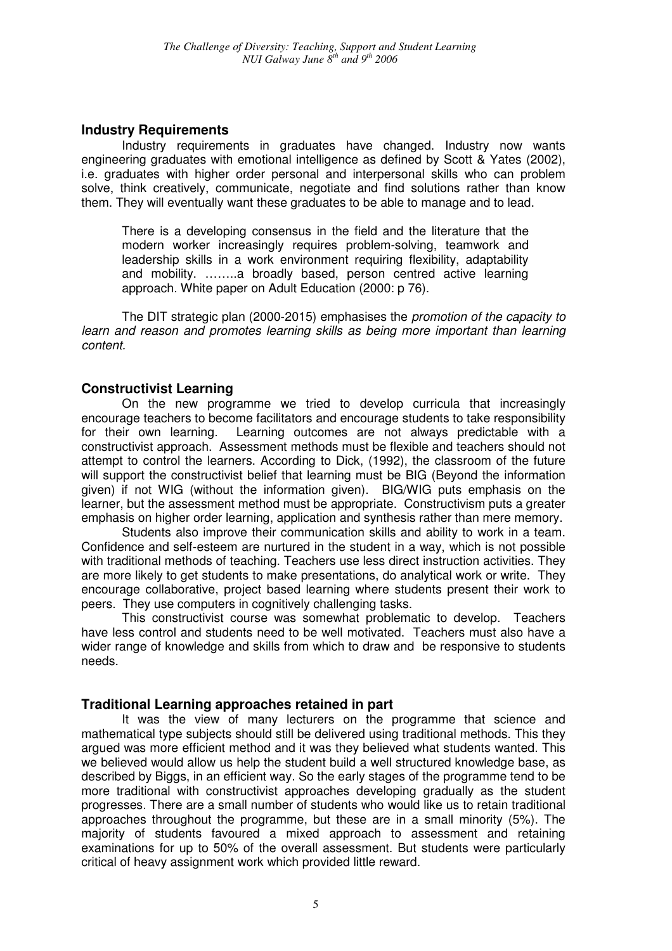#### **Industry Requirements**

Industry requirements in graduates have changed. Industry now wants engineering graduates with emotional intelligence as defined by Scott & Yates (2002), i.e. graduates with higher order personal and interpersonal skills who can problem solve, think creatively, communicate, negotiate and find solutions rather than know them. They will eventually want these graduates to be able to manage and to lead.

There is a developing consensus in the field and the literature that the modern worker increasingly requires problem-solving, teamwork and leadership skills in a work environment requiring flexibility, adaptability and mobility. ……..a broadly based, person centred active learning approach. White paper on Adult Education (2000: p 76).

The DIT strategic plan (2000-2015) emphasises the promotion of the capacity to learn and reason and promotes learning skills as being more important than learning content.

#### **Constructivist Learning**

On the new programme we tried to develop curricula that increasingly encourage teachers to become facilitators and encourage students to take responsibility for their own learning. Learning outcomes are not always predictable with a constructivist approach. Assessment methods must be flexible and teachers should not attempt to control the learners. According to Dick, (1992), the classroom of the future will support the constructivist belief that learning must be BIG (Beyond the information given) if not WIG (without the information given). BIG/WIG puts emphasis on the learner, but the assessment method must be appropriate. Constructivism puts a greater emphasis on higher order learning, application and synthesis rather than mere memory.

Students also improve their communication skills and ability to work in a team. Confidence and self-esteem are nurtured in the student in a way, which is not possible with traditional methods of teaching. Teachers use less direct instruction activities. They are more likely to get students to make presentations, do analytical work or write. They encourage collaborative, project based learning where students present their work to peers. They use computers in cognitively challenging tasks.

This constructivist course was somewhat problematic to develop. Teachers have less control and students need to be well motivated. Teachers must also have a wider range of knowledge and skills from which to draw and be responsive to students needs.

#### **Traditional Learning approaches retained in part**

It was the view of many lecturers on the programme that science and mathematical type subjects should still be delivered using traditional methods. This they argued was more efficient method and it was they believed what students wanted. This we believed would allow us help the student build a well structured knowledge base, as described by Biggs, in an efficient way. So the early stages of the programme tend to be more traditional with constructivist approaches developing gradually as the student progresses. There are a small number of students who would like us to retain traditional approaches throughout the programme, but these are in a small minority (5%). The majority of students favoured a mixed approach to assessment and retaining examinations for up to 50% of the overall assessment. But students were particularly critical of heavy assignment work which provided little reward.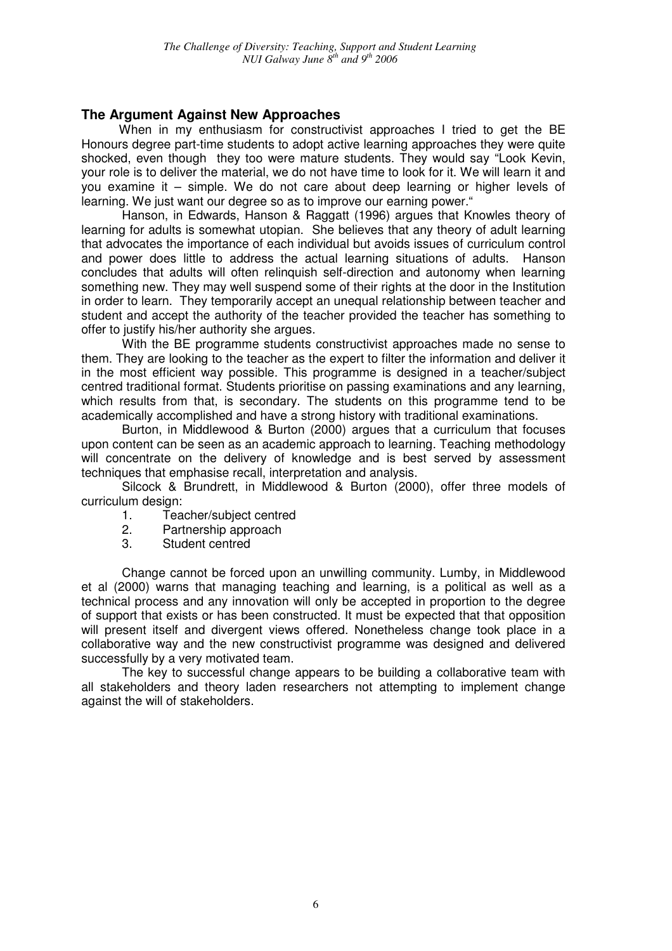### **The Argument Against New Approaches**

When in my enthusiasm for constructivist approaches I tried to get the BE Honours degree part-time students to adopt active learning approaches they were quite shocked, even though they too were mature students. They would say "Look Kevin, your role is to deliver the material, we do not have time to look for it. We will learn it and you examine it – simple. We do not care about deep learning or higher levels of learning. We just want our degree so as to improve our earning power."

Hanson, in Edwards, Hanson & Raggatt (1996) argues that Knowles theory of learning for adults is somewhat utopian. She believes that any theory of adult learning that advocates the importance of each individual but avoids issues of curriculum control and power does little to address the actual learning situations of adults. Hanson concludes that adults will often relinquish self-direction and autonomy when learning something new. They may well suspend some of their rights at the door in the Institution in order to learn. They temporarily accept an unequal relationship between teacher and student and accept the authority of the teacher provided the teacher has something to offer to justify his/her authority she argues.

With the BE programme students constructivist approaches made no sense to them. They are looking to the teacher as the expert to filter the information and deliver it in the most efficient way possible. This programme is designed in a teacher/subject centred traditional format. Students prioritise on passing examinations and any learning, which results from that, is secondary. The students on this programme tend to be academically accomplished and have a strong history with traditional examinations.

Burton, in Middlewood & Burton (2000) argues that a curriculum that focuses upon content can be seen as an academic approach to learning. Teaching methodology will concentrate on the delivery of knowledge and is best served by assessment techniques that emphasise recall, interpretation and analysis.

Silcock & Brundrett, in Middlewood & Burton (2000), offer three models of curriculum design:

- 1. Teacher/subject centred
- 2. Partnership approach
- 3. Student centred

Change cannot be forced upon an unwilling community. Lumby, in Middlewood et al (2000) warns that managing teaching and learning, is a political as well as a technical process and any innovation will only be accepted in proportion to the degree of support that exists or has been constructed. It must be expected that that opposition will present itself and divergent views offered. Nonetheless change took place in a collaborative way and the new constructivist programme was designed and delivered successfully by a very motivated team.

The key to successful change appears to be building a collaborative team with all stakeholders and theory laden researchers not attempting to implement change against the will of stakeholders.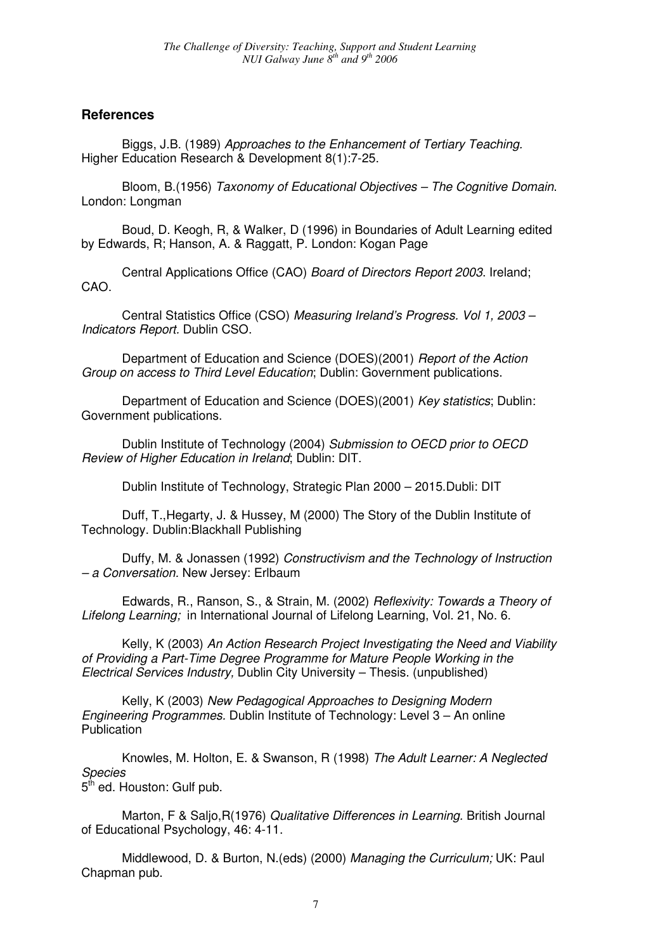#### **References**

Biggs, J.B. (1989) Approaches to the Enhancement of Tertiary Teaching. Higher Education Research & Development 8(1):7-25.

Bloom, B.(1956) Taxonomy of Educational Objectives – The Cognitive Domain. London: Longman

Boud, D. Keogh, R, & Walker, D (1996) in Boundaries of Adult Learning edited by Edwards, R; Hanson, A. & Raggatt, P. London: Kogan Page

Central Applications Office (CAO) Board of Directors Report 2003. Ireland; CAO.

Central Statistics Office (CSO) Measuring Ireland's Progress. Vol 1, 2003 – Indicators Report. Dublin CSO.

Department of Education and Science (DOES)(2001) Report of the Action Group on access to Third Level Education; Dublin: Government publications.

Department of Education and Science (DOES)(2001) Key statistics; Dublin: Government publications.

Dublin Institute of Technology (2004) Submission to OECD prior to OECD Review of Higher Education in Ireland; Dublin: DIT.

Dublin Institute of Technology, Strategic Plan 2000 – 2015.Dubli: DIT

Duff, T.,Hegarty, J. & Hussey, M (2000) The Story of the Dublin Institute of Technology. Dublin:Blackhall Publishing

Duffy, M. & Jonassen (1992) Constructivism and the Technology of Instruction – a Conversation. New Jersey: Erlbaum

Edwards, R., Ranson, S., & Strain, M. (2002) Reflexivity: Towards a Theory of Lifelong Learning; in International Journal of Lifelong Learning, Vol. 21, No. 6.

Kelly, K (2003) An Action Research Project Investigating the Need and Viability of Providing a Part-Time Degree Programme for Mature People Working in the Electrical Services Industry, Dublin City University – Thesis. (unpublished)

Kelly, K (2003) New Pedagogical Approaches to Designing Modern Engineering Programmes. Dublin Institute of Technology: Level 3 – An online **Publication** 

Knowles, M. Holton, E. & Swanson, R (1998) The Adult Learner: A Neglected Species

5<sup>th</sup> ed. Houston: Gulf pub.

Marton, F & Saljo, R(1976) Qualitative Differences in Learning. British Journal of Educational Psychology, 46: 4-11.

Middlewood, D. & Burton, N.(eds) (2000) Managing the Curriculum; UK: Paul Chapman pub.